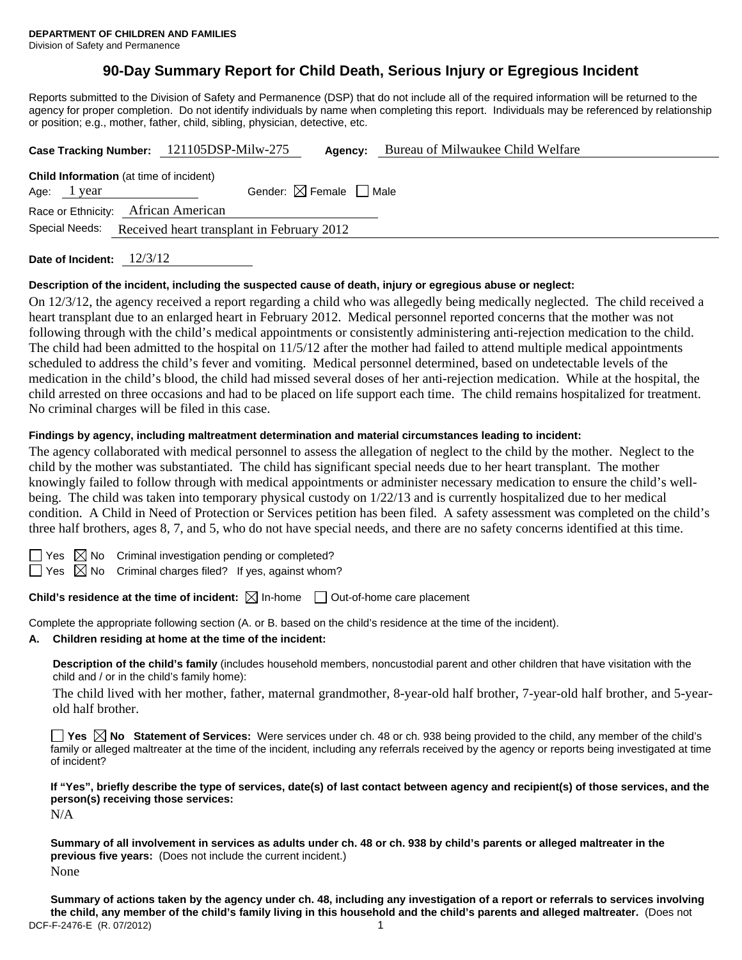# **90-Day Summary Report for Child Death, Serious Injury or Egregious Incident**

Reports submitted to the Division of Safety and Permanence (DSP) that do not include all of the required information will be returned to the agency for proper completion. Do not identify individuals by name when completing this report. Individuals may be referenced by relationship or position; e.g., mother, father, child, sibling, physician, detective, etc.

|                                                                                                        | Case Tracking Number: 121105DSP-Milw-275 | Agency: | Bureau of Milwaukee Child Welfare |  |  |  |
|--------------------------------------------------------------------------------------------------------|------------------------------------------|---------|-----------------------------------|--|--|--|
| <b>Child Information</b> (at time of incident)<br>Age: $1$ year<br>Race or Ethnicity: African American | Gender: $\boxtimes$ Female $\Box$ Male   |         |                                   |  |  |  |
| Special Needs:<br>Received heart transplant in February 2012                                           |                                          |         |                                   |  |  |  |

**Date of Incident:** 12/3/12

#### **Description of the incident, including the suspected cause of death, injury or egregious abuse or neglect:**

On 12/3/12, the agency received a report regarding a child who was allegedly being medically neglected. The child received a heart transplant due to an enlarged heart in February 2012. Medical personnel reported concerns that the mother was not following through with the child's medical appointments or consistently administering anti-rejection medication to the child. The child had been admitted to the hospital on 11/5/12 after the mother had failed to attend multiple medical appointments scheduled to address the child's fever and vomiting. Medical personnel determined, based on undetectable levels of the medication in the child's blood, the child had missed several doses of her anti-rejection medication. While at the hospital, the child arrested on three occasions and had to be placed on life support each time. The child remains hospitalized for treatment. No criminal charges will be filed in this case.

#### **Findings by agency, including maltreatment determination and material circumstances leading to incident:**

The agency collaborated with medical personnel to assess the allegation of neglect to the child by the mother. Neglect to the child by the mother was substantiated. The child has significant special needs due to her heart transplant. The mother knowingly failed to follow through with medical appointments or administer necessary medication to ensure the child's wellbeing. The child was taken into temporary physical custody on 1/22/13 and is currently hospitalized due to her medical condition. A Child in Need of Protection or Services petition has been filed. A safety assessment was completed on the child's three half brothers, ages 8, 7, and 5, who do not have special needs, and there are no safety concerns identified at this time.

es  $\boxtimes$  No Criminal investigation pending or completed?

 $\Box$  Yes  $\boxtimes$  No Criminal charges filed? If yes, against whom?

## **Child's residence at the time of incident:**  $\boxtimes$  In-home  $\Box$  Out-of-home care placement

Complete the appropriate following section (A. or B. based on the child's residence at the time of the incident).

**A. Children residing at home at the time of the incident:**

**Description of the child's family** (includes household members, noncustodial parent and other children that have visitation with the child and / or in the child's family home):

The child lived with her mother, father, maternal grandmother, 8-year-old half brother, 7-year-old half brother, and 5-yearold half brother.

**Yes No Statement of Services:** Were services under ch. 48 or ch. 938 being provided to the child, any member of the child's family or alleged maltreater at the time of the incident, including any referrals received by the agency or reports being investigated at time of incident?

**If "Yes", briefly describe the type of services, date(s) of last contact between agency and recipient(s) of those services, and the person(s) receiving those services:** 

N/A

**Summary of all involvement in services as adults under ch. 48 or ch. 938 by child's parents or alleged maltreater in the previous five years:** (Does not include the current incident.) None

DCF-F-2476-E (R. 07/2012) 1 **Summary of actions taken by the agency under ch. 48, including any investigation of a report or referrals to services involving the child, any member of the child's family living in this household and the child's parents and alleged maltreater.** (Does not